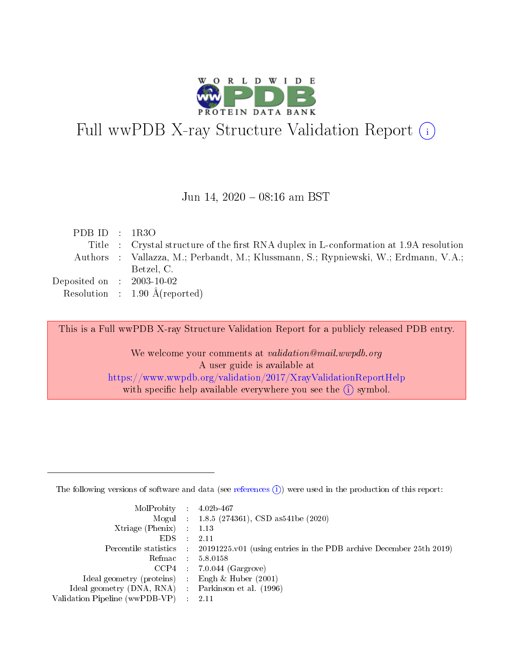

# Full wwPDB X-ray Structure Validation Report (i)

#### Jun 14, 2020 - 08:16 am BST

| PDB ID : $1R3O$                      |                                                                                        |
|--------------------------------------|----------------------------------------------------------------------------------------|
|                                      | Title : Crystal structure of the first RNA duplex in L-conformation at 1.9A resolution |
|                                      | Authors : Vallazza, M.; Perbandt, M.; Klussmann, S.; Rypniewski, W.; Erdmann, V.A.;    |
|                                      | Betzel, C.                                                                             |
| Deposited on $\therefore$ 2003-10-02 |                                                                                        |
|                                      | Resolution : $1.90 \text{ Å}$ (reported)                                               |

This is a Full wwPDB X-ray Structure Validation Report for a publicly released PDB entry.

We welcome your comments at validation@mail.wwpdb.org A user guide is available at <https://www.wwpdb.org/validation/2017/XrayValidationReportHelp> with specific help available everywhere you see the  $(i)$  symbol.

The following versions of software and data (see [references](https://www.wwpdb.org/validation/2017/XrayValidationReportHelp#references)  $(1)$ ) were used in the production of this report:

| $MolProbability$ : 4.02b-467                      |                              |                                                                                            |
|---------------------------------------------------|------------------------------|--------------------------------------------------------------------------------------------|
|                                                   |                              | Mogul : $1.8.5$ (274361), CSD as 541be (2020)                                              |
| Xtriage (Phenix) $: 1.13$                         |                              |                                                                                            |
| EDS –                                             | $\sim$                       | -2.11                                                                                      |
|                                                   |                              | Percentile statistics : 20191225.v01 (using entries in the PDB archive December 25th 2019) |
| Refmac : 5.8.0158                                 |                              |                                                                                            |
| CCP4                                              |                              | $7.0.044$ (Gargrove)                                                                       |
| Ideal geometry (proteins)                         | $\mathcal{L}_{\mathrm{eff}}$ | Engh & Huber $(2001)$                                                                      |
| Ideal geometry (DNA, RNA) Parkinson et al. (1996) |                              |                                                                                            |
| Validation Pipeline (wwPDB-VP) : 2.11             |                              |                                                                                            |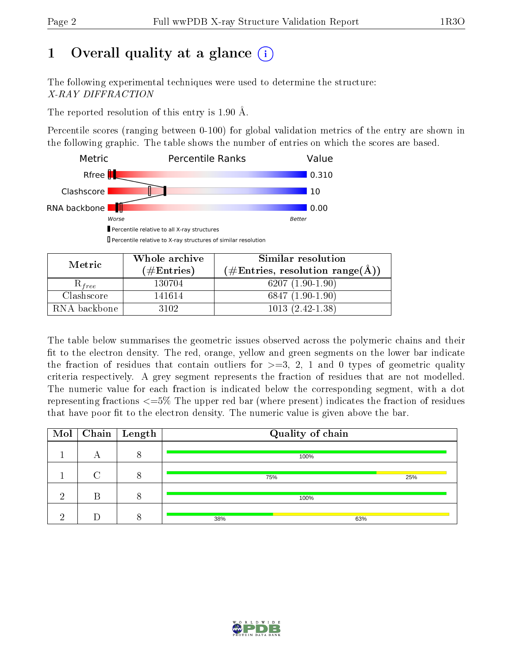# 1 [O](https://www.wwpdb.org/validation/2017/XrayValidationReportHelp#overall_quality)verall quality at a glance  $(i)$

The following experimental techniques were used to determine the structure: X-RAY DIFFRACTION

The reported resolution of this entry is 1.90 Å.

Percentile scores (ranging between 0-100) for global validation metrics of the entry are shown in the following graphic. The table shows the number of entries on which the scores are based.



Percentile relative to X-ray structures of similar resolution

|              | Whole archive        | Similar resolution                                                 |  |  |
|--------------|----------------------|--------------------------------------------------------------------|--|--|
| Metric       | $(\#\text{Entries})$ | $(\#\text{Entries}, \text{ resolution } \text{range}(\text{\AA}))$ |  |  |
| $K_{free}$   | 130704               | $6207(1.90-1.90)$                                                  |  |  |
| Clashscore   | 141614               | $6847(1.90-1.90)$                                                  |  |  |
| RNA backbone | 3102                 | $1013(2.42-1.38)$                                                  |  |  |

The table below summarises the geometric issues observed across the polymeric chains and their fit to the electron density. The red, orange, yellow and green segments on the lower bar indicate the fraction of residues that contain outliers for  $\geq=3$ , 2, 1 and 0 types of geometric quality criteria respectively. A grey segment represents the fraction of residues that are not modelled. The numeric value for each fraction is indicated below the corresponding segment, with a dot representing fractions  $\epsilon = 5\%$  The upper red bar (where present) indicates the fraction of residues that have poor fit to the electron density. The numeric value is given above the bar.

| Mol |   | $\fbox{Chain}$ Length | Quality of chain |     |
|-----|---|-----------------------|------------------|-----|
|     |   | Ω                     | 100%             |     |
|     |   | $\Omega$              | 75%              | 25% |
| റ   | В | 8                     | 100%             |     |
|     |   |                       | 38%              | 63% |

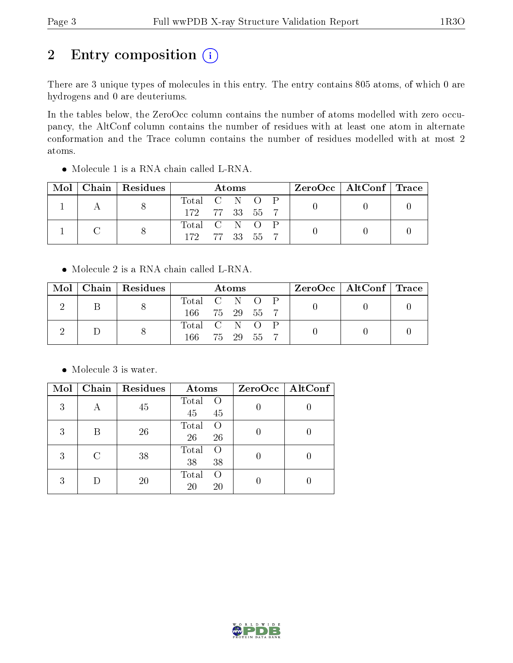# 2 Entry composition  $(i)$

There are 3 unique types of molecules in this entry. The entry contains 805 atoms, of which 0 are hydrogens and 0 are deuteriums.

In the tables below, the ZeroOcc column contains the number of atoms modelled with zero occupancy, the AltConf column contains the number of residues with at least one atom in alternate conformation and the Trace column contains the number of residues modelled with at most 2 atoms.

|  |  | $Mol$   Chain   Residues | Atoms         |  |  | $ZeroOcc \mid AltConf \mid Trace$ |  |  |
|--|--|--------------------------|---------------|--|--|-----------------------------------|--|--|
|  |  |                          | Total C N O P |  |  |                                   |  |  |
|  |  | 172 77 33 55 7           |               |  |  |                                   |  |  |
|  |  |                          | Total C N O P |  |  |                                   |  |  |
|  |  | 172 77 33 55 7           |               |  |  |                                   |  |  |

Molecule 1 is a RNA chain called L-RNA.

• Molecule 2 is a RNA chain called L-RNA.

|  |  | Mol   Chain   Residues | Atoms         |  |  | $\rm ZeroOcc \mid AltConf \mid Trace$ |               |  |  |  |  |  |
|--|--|------------------------|---------------|--|--|---------------------------------------|---------------|--|--|--|--|--|
|  |  |                        | Total C N O P |  |  |                                       |               |  |  |  |  |  |
|  |  | 166 75 29 55 7         |               |  |  |                                       |               |  |  |  |  |  |
|  |  |                        |               |  |  |                                       | Total C N O P |  |  |  |  |  |
|  |  | 166 75 29 55 7         |               |  |  |                                       |               |  |  |  |  |  |

Molecule 3 is water.

| Mol |   | Chain   Residues | Atoms                         | $ZeroOcc$   AltConf |
|-----|---|------------------|-------------------------------|---------------------|
| 3   |   | 45               | Total<br>$\Omega$<br>45<br>45 |                     |
| 3   | B | 26               | Total<br>$\left($<br>26<br>26 |                     |
| 3   |   | 38               | Total<br>$\left($<br>38<br>38 |                     |
| 3   |   | 20               | Total<br>$\left($<br>20<br>20 |                     |

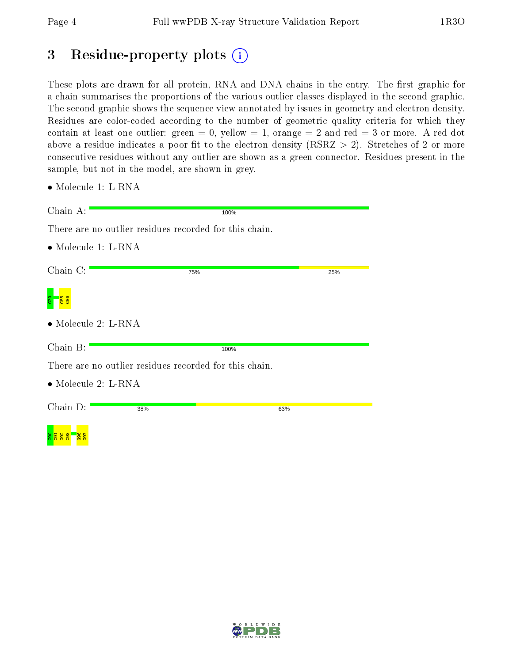## 3 Residue-property plots  $(i)$

These plots are drawn for all protein, RNA and DNA chains in the entry. The first graphic for a chain summarises the proportions of the various outlier classes displayed in the second graphic. The second graphic shows the sequence view annotated by issues in geometry and electron density. Residues are color-coded according to the number of geometric quality criteria for which they contain at least one outlier: green  $= 0$ , yellow  $= 1$ , orange  $= 2$  and red  $= 3$  or more. A red dot above a residue indicates a poor fit to the electron density (RSRZ  $> 2$ ). Stretches of 2 or more consecutive residues without any outlier are shown as a green connector. Residues present in the sample, but not in the model, are shown in grey.

| Chain A:                            | 100%                                                   |     |
|-------------------------------------|--------------------------------------------------------|-----|
|                                     | There are no outlier residues recorded for this chain. |     |
| $\bullet$ Molecule 1: L-RNA         |                                                        |     |
|                                     |                                                        |     |
| Chain C:                            | 75%                                                    | 25% |
|                                     |                                                        |     |
| $\bullet$ Molecule 2: L-RNA         |                                                        |     |
| Chain B:                            | 100%                                                   |     |
|                                     | There are no outlier residues recorded for this chain. |     |
| $\bullet$ Molecule 2: L-RNA         |                                                        |     |
| Chain D:                            | 38%                                                    | 63% |
|                                     |                                                        |     |
| <b>165</b><br>965<br><b>es</b><br>鲁 |                                                        |     |



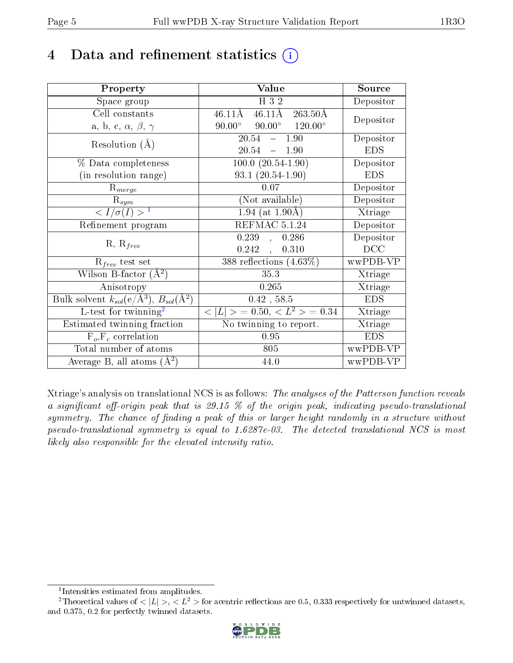## 4 Data and refinement statistics  $(i)$

| Property                                                                 | Value                                                        | Source     |
|--------------------------------------------------------------------------|--------------------------------------------------------------|------------|
| Space group                                                              | H 3 2                                                        | Depositor  |
| Cell constants                                                           | $46.11\text{\AA}$<br>$263.50\text{\AA}$<br>$46.11\text{\AA}$ | Depositor  |
| a, b, c, $\alpha$ , $\beta$ , $\gamma$                                   | $90.00^{\circ}$ $120.00^{\circ}$<br>$90.00^\circ$            |            |
| Resolution $(A)$                                                         | 20.54<br>$-1.90$                                             | Depositor  |
|                                                                          | 20.54<br>$-1.90$                                             | <b>EDS</b> |
| % Data completeness                                                      | $100.0 (20.54 - 1.90)$                                       | Depositor  |
| (in resolution range)                                                    | $93.1(20.54-1.90)$                                           | <b>EDS</b> |
| $R_{merge}$                                                              | 0.07                                                         | Depositor  |
| $\mathrm{R}_{sym}$                                                       | (Not available)                                              | Depositor  |
| $\langle I/\sigma(I) \rangle^{-1}$                                       | $1.94$ (at 1.90Å)                                            | Xtriage    |
| Refinement program                                                       | REFMAC 5.1.24                                                | Depositor  |
| $R, R_{free}$                                                            | 0.239,<br>0.286                                              | Depositor  |
|                                                                          | $0.242$ ,<br>0.310                                           | DCC        |
| $\mathcal{R}_{free}$ test set                                            | 388 reflections $(4.63\%)$                                   | wwPDB-VP   |
| Wilson B-factor $(A^2)$                                                  | 35.3                                                         | Xtriage    |
| Anisotropy                                                               | 0.265                                                        | Xtriage    |
| Bulk solvent $k_{sol}(\mathrm{e}/\mathrm{A}^3),$ $B_{sol}(\mathrm{A}^2)$ | $0.42$ , 58.5                                                | <b>EDS</b> |
| L-test for twinning <sup>2</sup>                                         | $< L >$ = 0.50, $< L2 >$ = 0.34                              | Xtriage    |
| Estimated twinning fraction                                              | $\overline{\text{No}}$ twinning to report.                   | Xtriage    |
| $F_o, F_c$ correlation                                                   | 0.95                                                         | <b>EDS</b> |
| Total number of atoms                                                    | 805                                                          | wwPDB-VP   |
| Average B, all atoms $(A^2)$                                             | 44.0                                                         | wwPDB-VP   |

Xtriage's analysis on translational NCS is as follows: The analyses of the Patterson function reveals a significant off-origin peak that is 29.15  $\%$  of the origin peak, indicating pseudo-translational symmetry. The chance of finding a peak of this or larger height randomly in a structure without pseudo-translational symmetry is equal to 1.6287e-03. The detected translational NCS is most likely also responsible for the elevated intensity ratio.

<sup>&</sup>lt;sup>2</sup>Theoretical values of  $\langle |L| \rangle$ ,  $\langle L^2 \rangle$  for acentric reflections are 0.5, 0.333 respectively for untwinned datasets, and 0.375, 0.2 for perfectly twinned datasets.



<span id="page-4-1"></span><span id="page-4-0"></span><sup>1</sup> Intensities estimated from amplitudes.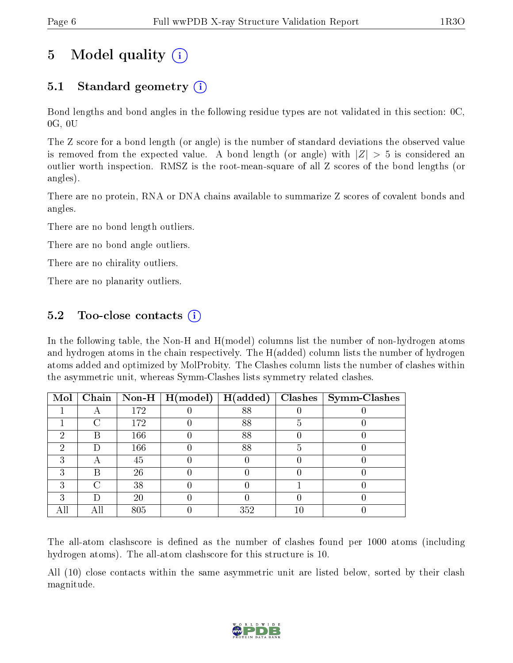## 5 Model quality  $(i)$

## 5.1 Standard geometry (i)

Bond lengths and bond angles in the following residue types are not validated in this section: 0C, 0G, 0U

The Z score for a bond length (or angle) is the number of standard deviations the observed value is removed from the expected value. A bond length (or angle) with  $|Z| > 5$  is considered an outlier worth inspection. RMSZ is the root-mean-square of all Z scores of the bond lengths (or angles).

There are no protein, RNA or DNA chains available to summarize Z scores of covalent bonds and angles.

There are no bond length outliers.

There are no bond angle outliers.

There are no chirality outliers.

There are no planarity outliers.

### $5.2$  Too-close contacts  $(i)$

In the following table, the Non-H and H(model) columns list the number of non-hydrogen atoms and hydrogen atoms in the chain respectively. The H(added) column lists the number of hydrogen atoms added and optimized by MolProbity. The Clashes column lists the number of clashes within the asymmetric unit, whereas Symm-Clashes lists symmetry related clashes.

| Mol |   |     | Chain   Non-H   $H (model)$ | H(added) |   | $Clashes$   Symm-Clashes |
|-----|---|-----|-----------------------------|----------|---|--------------------------|
|     |   | 172 |                             | 88       |   |                          |
|     | ∩ | 172 |                             | 88       |   |                          |
| റ   | R | 166 |                             | 88       |   |                          |
| റ   |   | 166 |                             | 88       | ה |                          |
| २   |   | 45  |                             |          |   |                          |
| 3   | R | 26  |                             |          |   |                          |
| ົ   | ∩ | 38  |                             |          |   |                          |
|     |   | 20  |                             |          |   |                          |
|     |   | 805 |                             | 352      |   |                          |

The all-atom clashscore is defined as the number of clashes found per 1000 atoms (including hydrogen atoms). The all-atom clashscore for this structure is 10.

All (10) close contacts within the same asymmetric unit are listed below, sorted by their clash magnitude.

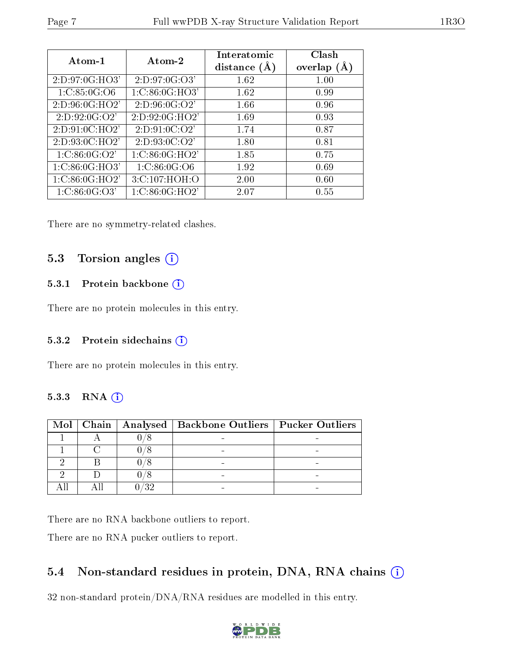| Atom-1              | Atom-2             | Interatomic<br>distance $(A)$ | Clash<br>overlap $(A)$ |
|---------------------|--------------------|-------------------------------|------------------------|
| 2:D:97:0G:HO3'      | 2: D: 97: 0G: O3'  | 1.62                          | 1.00                   |
| 1: C: 85:0 G:O6     | 1:C:86:0G:HO3'     | 1.62                          | 0.99                   |
| 2: D: 96: 0G: HO2'  | 2: D: 96: 0 G: O2' | 1.66                          | 0.96                   |
| 2: D: 92: 0 G: O 2' | 2:D:92:0G:HO2'     | 1.69                          | 0.93                   |
| 2: D: 91: 0C: HO2'  | 2: D: 91: 0C: O2'  | 1.74                          | 0.87                   |
| 2:D:93:0C:HO2'      | 2: D: 93: 0C: O2'  | 1.80                          | 0.81                   |
| 1: C: 86: 0G: O2'   | 1: C: 86: 0G: HO2' | 1.85                          | 0.75                   |
| 1: C:86:0G:HO3'     | 1: C: 86:0 G:O6    | 1.92                          | 0.69                   |
| 1: C:86:0G:HO2'     | 3:C:107:HOH:O      | 2.00                          | 0.60                   |
| 1: C: 86: 0G: O3'   | 1:C:86:0G:HO2'     | 2.07                          | 0.55                   |

There are no symmetry-related clashes.

#### 5.3 Torsion angles (i)

#### 5.3.1 Protein backbone (i)

There are no protein molecules in this entry.

#### 5.3.2 Protein sidechains (i)

There are no protein molecules in this entry.

#### 5.3.3 RNA [O](https://www.wwpdb.org/validation/2017/XrayValidationReportHelp#rna)i

|  | Mol   Chain   Analysed   Backbone Outliers   Pucker Outliers |  |
|--|--------------------------------------------------------------|--|
|  |                                                              |  |
|  |                                                              |  |
|  |                                                              |  |
|  |                                                              |  |
|  |                                                              |  |

There are no RNA backbone outliers to report.

There are no RNA pucker outliers to report.

### 5.4 Non-standard residues in protein, DNA, RNA chains  $(i)$

32 non-standard protein/DNA/RNA residues are modelled in this entry.

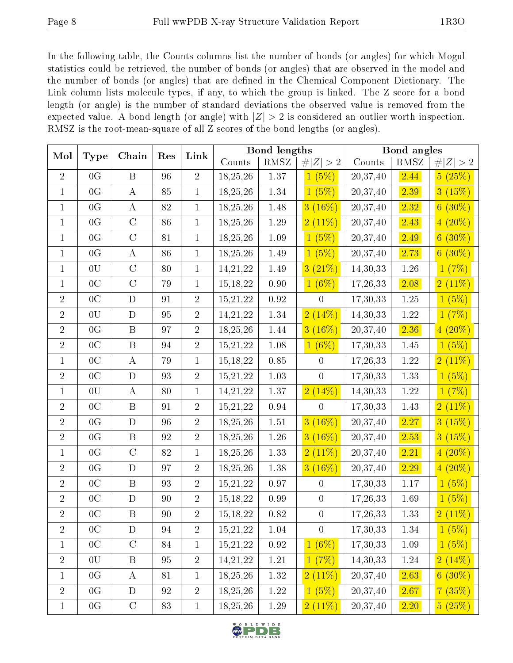In the following table, the Counts columns list the number of bonds (or angles) for which Mogul statistics could be retrieved, the number of bonds (or angles) that are observed in the model and the number of bonds (or angles) that are defined in the Chemical Component Dictionary. The Link column lists molecule types, if any, to which the group is linked. The Z score for a bond length (or angle) is the number of standard deviations the observed value is removed from the expected value. A bond length (or angle) with  $|Z| > 2$  is considered an outlier worth inspection. RMSZ is the root-mean-square of all Z scores of the bond lengths (or angles).

| Mol            |                 | Chain          | Res         | Link           |            | <b>Bond</b> lengths |                      |          | <b>Bond</b> angles |             |
|----------------|-----------------|----------------|-------------|----------------|------------|---------------------|----------------------|----------|--------------------|-------------|
|                | Type            |                |             |                | Counts     | $\rm RMSZ$          | # $ Z  > 2$          | Counts   | $\rm RMSZ$         | # $ Z  > 2$ |
| $\overline{2}$ | 0 <sub>G</sub>  | $\mathbf B$    | 96          | $\overline{2}$ | 18,25,26   | 1.37                | 1(5%)                | 20,37,40 | 2.44               | 5(25%)      |
| $\mathbf{1}$   | $0\,\mathrm{G}$ | $\bf{A}$       | 85          | $\mathbf{1}$   | 18, 25, 26 | $1.34\,$            | 1(5%)                | 20,37,40 | 2.39               | 3(15%)      |
| $\mathbf{1}$   | 0G              | $\bf{A}$       | $8\sqrt{2}$ | $\mathbf{1}$   | 18, 25, 26 | 1.48                | $3(16\%)$            | 20,37,40 | 2.32               | $6(30\%)$   |
| $\mathbf{1}$   | 0 <sub>G</sub>  | $\mathcal{C}$  | 86          | $\mathbf 1$    | 18,25,26   | $1.29\,$            | 2(11%)               | 20,37,40 | 2.43               | $4(20\%)$   |
| $\mathbf{1}$   | 0G              | $\overline{C}$ | 81          | $\mathbf 1$    | 18,25,26   | $1.09\,$            | (5%)<br>$\mathbf{1}$ | 20,37,40 | 2.49               | $6(30\%)$   |
| $\mathbf{1}$   | 0G              | $\bf{A}$       | 86          | $\mathbf 1$    | 18, 25, 26 | 1.49                | (5%)<br>$\mathbf{1}$ | 20,37,40 | 2.73               | $6(30\%)$   |
| $\mathbf{1}$   | 0U              | $\overline{C}$ | 80          | $\mathbf{1}$   | 14,21,22   | 1.49                | 3(21%)               | 14,30,33 | 1.26               | 1(7%)       |
| $\mathbf{1}$   | $0\mathrm{\,C}$ | $\overline{C}$ | 79          | $\mathbf{1}$   | 15, 18, 22 | 0.90                | $1(6\%)$             | 17,26,33 | 2.08               | 2(11%)      |
| $\sqrt{2}$     | 0 <sup>C</sup>  | D              | 91          | $\overline{2}$ | 15,21,22   | $\rm 0.92$          | $\overline{0}$       | 17,30,33 | 1.25               | 1(5%)       |
| $\overline{2}$ | 0U              | $\mathbf D$    | 95          | $\overline{2}$ | 14, 21, 22 | 1.34                | 2(14%)               | 14,30,33 | 1.22               | 1(7%)       |
| $\overline{2}$ | 0G              | $\mathbf B$    | 97          | $\overline{2}$ | 18,25,26   | 1.44                | $3(16\%)$            | 20,37,40 | 2.36               | $4(20\%)$   |
| $\overline{2}$ | $0\mathrm{\,C}$ | $\mathbf B$    | 94          | $\overline{2}$ | 15, 21, 22 | $1.08\,$            | $1(6\%)$             | 17,30,33 | 1.45               | 1(5%)       |
| $\mathbf{1}$   | 0 <sup>C</sup>  | $\bf{A}$       | 79          | $\mathbf{1}$   | 15, 18, 22 | $0.85\,$            | $\boldsymbol{0}$     | 17,26,33 | $1.22\,$           | 2(11%)      |
| $\sqrt{2}$     | 0 <sup>C</sup>  | $\mathbf D$    | 93          | $\overline{2}$ | 15, 21, 22 | $1.03\,$            | $\boldsymbol{0}$     | 17,30,33 | 1.33               | 1(5%)       |
| $\mathbf{1}$   | 0U              | $\bf{A}$       | 80          | $\mathbf{1}$   | 14,21,22   | $1.37\,$            | 2(14%)               | 14,30,33 | $1.22\,$           | 1(7%)       |
| $\overline{2}$ | 0 <sup>C</sup>  | $\, {\bf B}$   | 91          | $\overline{2}$ | 15,21,22   | 0.94                | $\overline{0}$       | 17,30,33 | 1.43               | 2(11%)      |
| $\overline{2}$ | 0G              | D              | 96          | $\overline{2}$ | 18,25,26   | $1.51\,$            | $3(16\%)$            | 20,37,40 | 2.27               | 3(15%)      |
| $\sqrt{2}$     | 0G              | $\, {\bf B}$   | 92          | $\overline{2}$ | 18,25,26   | $1.26\,$            | $3(16\%)$            | 20,37,40 | 2.53               | 3(15%)      |
| $\mathbf{1}$   | 0G              | $\mathcal{C}$  | $8\sqrt{2}$ | $\mathbf{1}$   | 18,25,26   | 1.33                | 2(11%)               | 20,37,40 | 2.21               | $4(20\%)$   |
| $\overline{2}$ | 0G              | $\mathbf D$    | 97          | $\overline{2}$ | 18, 25, 26 | 1.38                | $3(16\%)$            | 20,37,40 | 2.29               | $4(20\%)$   |
| $\overline{2}$ | 0 <sup>C</sup>  | $\, {\bf B}$   | 93          | $\overline{2}$ | 15,21,22   | $0.97\,$            | $\boldsymbol{0}$     | 17,30,33 | $1.17\,$           | 1(5%)       |
| $\sqrt{2}$     | 0 <sup>C</sup>  | $\mathbf D$    | 90          | $\overline{2}$ | 15, 18, 22 | 0.99                | $\boldsymbol{0}$     | 17,26,33 | 1.69               | 1(5%)       |
| $\overline{2}$ | 0 <sup>C</sup>  | $\, {\bf B}$   | 90          | $\overline{2}$ | 15, 18, 22 | 0.82                | $\boldsymbol{0}$     | 17,26,33 | 1.33               | 2(11%)      |
| $\overline{2}$ | $0\mathrm{\,C}$ | $\mathbf D$    | 94          | $\overline{2}$ | 15,21,22   | $1.04\,$            | $\overline{0}$       | 17,30,33 | $1.34\,$           | 1(5%)       |
| $\mathbf{1}$   | 0 <sup>C</sup>  | $\mathcal{C}$  | 84          | $\mathbf{1}$   | 15,21,22   | $0.92\,$            | $1(6\%)$             | 17,30,33 | 1.09               | 1(5%)       |
| $\sqrt{2}$     | 0U              | $\, {\bf B}$   | 95          | $\sqrt{2}$     | 14,21,22   | $1.21\,$            | 1(7%)                | 14,30,33 | $1.24\,$           | 2(14%)      |
| $\mathbf{1}$   | 0G              | $\bf{A}$       | 81          | $\mathbf{1}$   | 18, 25, 26 | 1.32                | $2(11\%)$            | 20,37,40 | 2.63               | $6(30\%)$   |
| $\sqrt{2}$     | 0G              | ${\bf D}$      | 92          | $\sqrt{2}$     | 18,25,26   | $1.22\,$            | 1(5%)                | 20,37,40 | 2.67               | 7(35%)      |
| $\mathbf 1$    | 0 <sub>G</sub>  | $\mathbf C$    | $\bf 83$    | $\mathbf{1}$   | 18, 25, 26 | $1.29\,$            | 2(11%)               | 20,37,40 | 2.20               | 5(25%)      |

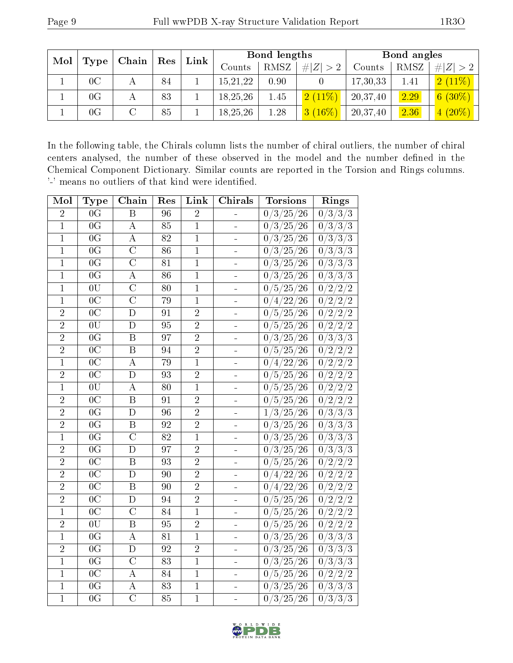| Mol<br>Type |               | $\mathbf{\Gamma}$ Chain $\mathbf{\Gamma}$ | $\vert$ Res | Link   | Bond lengths |             |           | Bond angles |             |           |
|-------------|---------------|-------------------------------------------|-------------|--------|--------------|-------------|-----------|-------------|-------------|-----------|
|             |               |                                           |             | Counts | <b>RMSZ</b>  | # $ Z  > 2$ | Counts    | RMSZ        | # $ Z  > 2$ |           |
|             | $0\mathrm{C}$ |                                           | 84          |        | 15, 21, 22   | 0.90        |           | 17,30,33    | 1.41        | 2(11%)    |
|             | $0\mathrm{G}$ |                                           | 83          |        | 18,25,26     | 1.45        | 2(11%)    | 20,37,40    | 2.29        | $6(30\%)$ |
|             | $0\mathrm{G}$ |                                           | 85          |        | 18,25,26     | 1.28        | $3(16\%)$ | 20,37,40    | 2.36        | $4(20\%)$ |

In the following table, the Chirals column lists the number of chiral outliers, the number of chiral centers analysed, the number of these observed in the model and the number defined in the Chemical Component Dictionary. Similar counts are reported in the Torsion and Rings columns. '-' means no outliers of that kind were identified.

| Mol            | Type            | Chain                   | Res             | Link           | Chirals                  | <b>Torsions</b>                                                  | Rings                                                                                |
|----------------|-----------------|-------------------------|-----------------|----------------|--------------------------|------------------------------------------------------------------|--------------------------------------------------------------------------------------|
| $\overline{2}$ | 0 <sub>G</sub>  | $\, {\bf B}$            | 96              | $\overline{2}$ |                          | 0/3/25/26                                                        | 0/3/3/3                                                                              |
| $\overline{1}$ | $\overline{0G}$ | $\overline{\rm A}$      | 85              | $\overline{1}$ | -                        | $^{\prime}25/26$<br>0/3/                                         | 0/3/3/3                                                                              |
| $\overline{1}$ | 0 <sup>G</sup>  | A                       | 82              | $\mathbf{1}$   | -                        | $25\,$<br>$^{\prime}26$<br>3<br>$\overline{0}$                   | /3/<br>$^{\prime}3$<br>/3<br>$\overline{0}$                                          |
| $\mathbf{1}$   | $\overline{0G}$ | $\overline{\rm C}$      | 86              | $\mathbf{1}$   | ÷                        | 25<br>$\mathfrak{3}$<br>26<br>$\boldsymbol{0}$                   | 3/3/3<br>$\boldsymbol{0}$                                                            |
| $\mathbf{1}$   | 0 <sub>G</sub>  | $\overline{C}$          | 81              | $\mathbf{1}$   | $\equiv$                 | $25\,$<br>3<br>$\overline{0}$<br>26                              | $\overline{0}/3/3$<br>/3                                                             |
| $\overline{1}$ | $\overline{0G}$ | $\overline{\rm A}$      | $\overline{86}$ | $\overline{1}$ | -                        | 25<br>3<br>$^{\prime}26$<br>$\overline{0}$                       | $\sqrt{3/3/3}$<br>$\boldsymbol{0}$                                                   |
| $\mathbf{1}$   | 0U              | $\overline{\rm C}$      | 80              | $\mathbf{1}$   | -                        | $25\,$<br>26<br>$\boldsymbol{0}$<br>5                            | $\sqrt{2}$<br>$\sqrt{2}$<br>$^{^{\prime}2}$<br>0                                     |
| $\mathbf{1}$   | 0 <sup>C</sup>  | $\overline{\rm C}$      | 79              | $\mathbf{1}$   | -                        | $^{\prime}22$<br>26<br>$\boldsymbol{0}$<br>$\overline{4}$        | 0/2/2<br>$^{^{\prime}2}$                                                             |
| $\overline{2}$ | $\overline{0C}$ | $\overline{\rm D}$      | 91              | $\overline{2}$ | ÷                        | $^{\prime}25/$<br>26<br>$\overline{0}$<br>5                      | 0/2/2/<br>$\mathbf{2}^{\prime}$                                                      |
| $\overline{2}$ | 0U              | $\overline{D}$          | 95              | $\overline{2}$ | -                        | $^\prime26$<br>$^{\prime}25/$<br>$\boldsymbol{0}$<br>5           | $\overline{ \langle 2/2/2 \rangle}$<br>$\overline{0}$                                |
| $\overline{2}$ | $\overline{0G}$ | $\overline{\mathrm{B}}$ | 97              | $\overline{2}$ | -                        | 3<br>$25\,$<br>26<br>$\bf{0}$                                    | $\overline{^{'}3/}$<br>$\sqrt{3}$<br>$/3\,$<br>$\overline{0}$                        |
| $\overline{2}$ | 0 <sub>C</sub>  | $\boldsymbol{B}$        | 94              | $\overline{2}$ | ÷                        | 25<br>26<br>5<br>$\boldsymbol{0}$                                | 0/2/2/2                                                                              |
| $\overline{1}$ | $\overline{0C}$ | $\overline{\rm A}$      | 79              | $\overline{1}$ | ÷,                       | 22<br>$\overline{0}$<br>$\overline{4}$<br>26                     | $^{\prime 2}$ /<br>$^{\prime}2$<br>$\overline{2}$<br>$\hspace{.08cm}0\hspace{.08cm}$ |
| $\overline{2}$ | $\overline{0C}$ | $\overline{D}$          | 93              | $\overline{2}$ | -                        | 5/25/<br>$^{\prime}26$<br>$\boldsymbol{0}$                       | $\overline{\sqrt{2}}$<br>$\sqrt{2}$<br>$\overline{2}$<br>$\overline{0}$              |
| $\overline{1}$ | 0U              | $\boldsymbol{A}$        | 80              | $\overline{1}$ | $\overline{\phantom{a}}$ | $^{\prime}25$<br>26<br>$\boldsymbol{0}$<br>5                     | 0/2/2/<br>$\overline{2}$                                                             |
| $\overline{2}$ | $\overline{0C}$ | B                       | 91              | $\overline{2}$ | ÷,                       | 5/25/<br>$^{\prime}26$<br>0                                      | $\overline{0/2/2}/2$                                                                 |
| $\overline{2}$ | $\overline{0G}$ | D                       | 96              | $\overline{2}$ | 4                        | $^{\prime}25/$<br>$^{\prime}26$<br>1,<br>$^{\prime}3$ /          | 0/3/3/3                                                                              |
| $\overline{2}$ | $\overline{0G}$ | $\boldsymbol{B}$        | 92              | $\overline{2}$ | -                        | $^{\prime}3/25/$<br>$^{\prime}26$<br>$\overline{0}$              | 0/3/3/3                                                                              |
| $\overline{1}$ | $\overline{0G}$ | $\overline{C}$          | 82              | $\overline{1}$ | $\overline{\phantom{a}}$ | 25<br>3<br>26<br>$\boldsymbol{0}$                                | /3/3/3<br>$\overline{0}$ ,                                                           |
| $\overline{2}$ | $\overline{0G}$ | $\overline{\rm D}$      | 97              | $\overline{2}$ | -                        | $^{'3/}$<br>$^{\prime}25/$<br>26<br>$\overline{0}$               | $\overline{0/3}/3/3$                                                                 |
| $\overline{2}$ | $\overline{0C}$ | $\overline{\mathrm{B}}$ | 93              | $\overline{2}$ | $\equiv$                 | $25\,$<br>5,<br>26<br>$\overline{0}$                             | /2<br>/2<br>$^{^{\prime}2}$<br>$\boldsymbol{0}$                                      |
| $\overline{2}$ | $\overline{0C}$ | D                       | 90              | $\overline{2}$ | -                        | /22<br>$^{\prime}26$<br>$\boldsymbol{0}$<br>$\overline{4}$       | $\overline{0/2/2/2}$                                                                 |
| $\overline{2}$ | $\overline{0C}$ | $\boldsymbol{B}$        | 90              | $\overline{2}$ | -                        | $^{\prime}22$<br>26<br>$\boldsymbol{0}$<br>$\overline{4}$        | 0/2/2/<br>$\overline{2}$                                                             |
| $\overline{2}$ | 0 <sup>C</sup>  | D                       | 94              | $\overline{2}$ | ÷,                       | 5/25/<br>26<br>$\overline{0}$                                    | 0/2/2/2                                                                              |
| $\mathbf{1}$   | 0 <sup>C</sup>  | $\overline{C}$          | 84              | $\mathbf{1}$   | -                        | $^{\prime}25$ ,<br>$^{\prime}26$<br>$\sqrt{5}$<br>$\overline{0}$ | $\sqrt{2}$<br>$\sqrt{2}$<br>/2<br>$\boldsymbol{0}$                                   |
| $\overline{2}$ | 0U              | B                       | 95              | $\overline{2}$ |                          | $^{\prime}5/25/$<br>$^\prime26$<br>$\theta$                      | $\overline{0/2/2/2}$                                                                 |
| $\mathbf{1}$   | 0G              | A                       | 81              | $\mathbf{1}$   | -                        | $^{\prime}25$<br>3<br>26<br>$\boldsymbol{0}$                     | 3/3/3<br>0                                                                           |
| $\overline{2}$ | $\overline{0G}$ | $\overline{\rm D}$      | 92              | $\overline{2}$ | -                        | $^{'3/}$<br>$25\,$<br>26<br>0                                    | $\overline{0/3/3}$<br>/3                                                             |
| $\overline{1}$ | 0 <sub>G</sub>  | $\overline{C}$          | 83              | $\overline{1}$ | ÷                        | 3<br>$25\,$<br>26<br>$\boldsymbol{0}$                            | 3/3/3<br>$\boldsymbol{0}$                                                            |
| $\mathbf{1}$   | $\overline{0C}$ | $\overline{\rm A}$      | 84              | $\overline{1}$ |                          | 5/<br>$25\,$<br>$^{\prime}26$<br>$\boldsymbol{0}$                | $\overline{/2}/2$<br>$^{\prime}2$<br>$\overline{0}$ .                                |
| $\mathbf{1}$   | 0 <sup>G</sup>  | A                       | 83              | $\mathbf{1}$   | -                        | $^{\prime}25$<br>$^{\prime}$ 3 /<br>26<br>$\boldsymbol{0}$       | 0/3/3/3                                                                              |
| $\overline{1}$ | $\overline{0G}$ | $\overline{\text{C}}$   | 85              | $\overline{1}$ | ÷,                       | $^{\prime}3/25/$<br>$^\prime26$<br>$\overline{0}$                | /3/3/3<br>$\overline{0}$ ,                                                           |

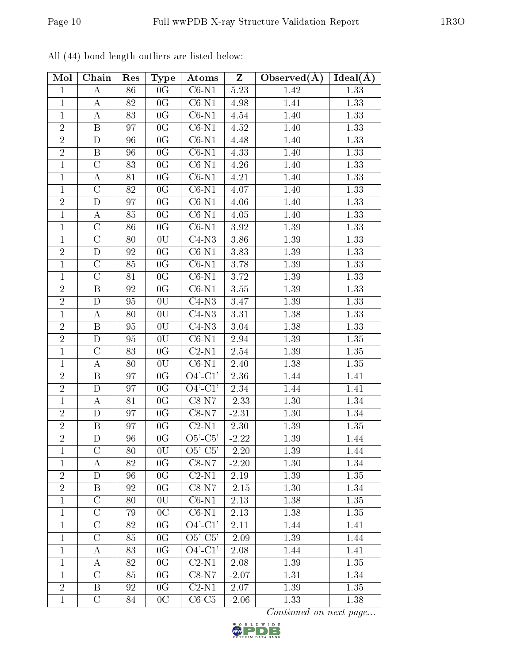|--|

| Mol            | Chain              | Res | Type            | Atoms                            | Z       | Observed $(A)$ | Ideal(A) |
|----------------|--------------------|-----|-----------------|----------------------------------|---------|----------------|----------|
| $\mathbf{1}$   | A                  | 86  | 0 <sub>G</sub>  | $\overline{\text{C6-N1}}$        | 5.23    | 1.42           | 1.33     |
| $\mathbf{1}$   | A                  | 82  | 0G              | $C6-N1$                          | 4.98    | 1.41           | 1.33     |
| $\mathbf{1}$   | $\bf{A}$           | 83  | 0 <sub>G</sub>  | $\overline{\text{C6-N1}}$        | 4.54    | 1.40           | 1.33     |
| $\overline{2}$ | $\overline{B}$     | 97  | 0 <sub>G</sub>  | $\overline{\text{C6-N1}}$        | 4.52    | 1.40           | 1.33     |
| $\overline{2}$ | D                  | 96  | 0G              | $C6-N1$                          | 4.48    | 1.40           | 1.33     |
| $\overline{2}$ | $\boldsymbol{B}$   | 96  | 0G              | $C6-N1$                          | 4.33    | 1.40           | 1.33     |
| $\mathbf{1}$   | $\mathcal{C}$      | 83  | 0 <sub>G</sub>  | $\overline{\text{C6-N1}}$        | 4.26    | 1.40           | 1.33     |
| $\mathbf{1}$   | $\bf{A}$           | 81  | 0 <sub>G</sub>  | $C6-N1$                          | 4.21    | 1.40           | 1.33     |
| $\mathbf{1}$   | $\overline{C}$     | 82  | 0G              | $C6-N1$                          | 4.07    | 1.40           | 1.33     |
| $\overline{2}$ | D                  | 97  | 0G              | $\overline{C}6$ -N1              | 4.06    | 1.40           | 1.33     |
| $\mathbf{1}$   | $\boldsymbol{A}$   | 85  | 0G              | $C6-N1$                          | 4.05    | 1.40           | 1.33     |
| $\mathbf{1}$   | $\overline{C}$     | 86  | 0 <sub>G</sub>  | $C6-N1$                          | 3.92    | 1.39           | 1.33     |
| $\mathbf{1}$   | $\overline{\rm C}$ | 80  | 0U              | $C4-N3$                          | 3.86    | 1.39           | 1.33     |
| $\overline{2}$ | $\overline{D}$     | 92  | 0 <sub>G</sub>  | $\overline{\text{C}6\text{-}N1}$ | 3.83    | 1.39           | 1.33     |
| 1              | $\rm C$            | 85  | 0G              | $C6-N1$                          | 3.78    | 1.39           | 1.33     |
| $\mathbf{1}$   | $\overline{C}$     | 81  | 0 <sub>G</sub>  | $C6-N1$                          | 3.72    | 1.39           | 1.33     |
| $\overline{2}$ | B                  | 92  | 0G              | $C6-N1$                          | 3.55    | 1.39           | 1.33     |
| $\overline{2}$ | $\mathbf D$        | 95  | 0U              | $C4-N3$                          | 3.47    | 1.39           | 1.33     |
| $\mathbf{1}$   | $\bf{A}$           | 80  | 0U              | $C4-N3$                          | 3.31    | 1.38           | 1.33     |
| $\overline{2}$ | $\mathbf B$        | 95  | 0U              | $C4-N3$                          | 3.04    | 1.38           | 1.33     |
| $\overline{2}$ | D                  | 95  | 0U              | $C6-N1$                          | 2.94    | 1.39           | 1.35     |
| $\mathbf{1}$   | $\mathcal{C}$      | 83  | 0 <sub>G</sub>  | $C2-N1$                          | 2.54    | 1.39           | 1.35     |
| $\mathbf{1}$   | $\overline{\rm A}$ | 80  | 0U              | $\overline{\text{C6-N1}}$        | 2.40    | 1.38           | $1.35\,$ |
| $\overline{2}$ | $\boldsymbol{B}$   | 97  | 0G              | $\overline{O}4'$ -C1'            | 2.36    | 1.44           | 1.41     |
| $\overline{2}$ | D                  | 97  | 0G              | $\overline{O4'$ - $C1'$          | 2.34    | 1.44           | 1.41     |
| $\mathbf{1}$   | A                  | 81  | 0G              | $C8-N7$                          | $-2.33$ | 1.30           | 1.34     |
| $\overline{2}$ | D                  | 97  | 0G              | $C8-N7$                          | $-2.31$ | 1.30           | 1.34     |
| $\overline{2}$ | B                  | 97  | 0G              | $\overline{\text{C2-N1}}$        | 2.30    | 1.39           | 1.35     |
| $\sqrt{2}$     | ${\rm D}$          | 96  | $0\,\mathrm{G}$ | $O5'-C5'$                        | $-2.22$ | $1.39\,$       | 1.44     |
| 1              | $\mathcal{C}$      | 80  | 0U              | $O5'$ - $C5'$                    | $-2.20$ | 1.39           | 1.44     |
| $\mathbf{1}$   | А                  | 82  | 0 <sub>G</sub>  | $C8-N7$                          | $-2.20$ | 1.30           | 1.34     |
| $\overline{2}$ | D                  | 96  | 0 <sub>G</sub>  | $C2-N1$                          | 2.19    | 1.39           | 1.35     |
| $\overline{2}$ | $\boldsymbol{B}$   | 92  | 0 <sub>G</sub>  | $C8-N7$                          | $-2.15$ | 1.30           | 1.34     |
| 1              | $\rm C$            | 80  | 0U              | $C6-N1$                          | 2.13    | 1.38           | 1.35     |
| $\mathbf{1}$   | $\overline{C}$     | 79  | 0 <sup>C</sup>  | $C6-N1$                          | 2.13    | 1.38           | 1.35     |
| $\mathbf{1}$   | С                  | 82  | 0G              | $O4'$ -C1'                       | 2.11    | 1.44           | 1.41     |
| $\mathbf{1}$   | $\overline{C}$     | 85  | 0 <sub>G</sub>  | $O5'-C5'$                        | $-2.09$ | 1.39           | 1.44     |
| $\mathbf{1}$   | А                  | 83  | 0 <sub>G</sub>  | $O4'$ -C1'                       | 2.08    | 1.44           | 1.41     |
| 1              | А                  | 82  | 0 <sub>G</sub>  | $C2-N1$                          | 2.08    | 1.39           | 1.35     |
| $\mathbf{1}$   | $\mathcal{C}$      | 85  | 0 <sub>G</sub>  | $C8-N7$                          | $-2.07$ | 1.31           | 1.34     |
| $\overline{2}$ | B                  | 92  | 0 <sup>G</sup>  | $\overline{C}$ 2-N1              | 2.07    | 1.39           | 1.35     |
| $\mathbf{1}$   | $\overline{\rm C}$ | 84  | 0 <sup>C</sup>  | $C6-C5$                          | $-2.06$ | 1.33           | 1.38     |

All (44) bond length outliers are listed below:

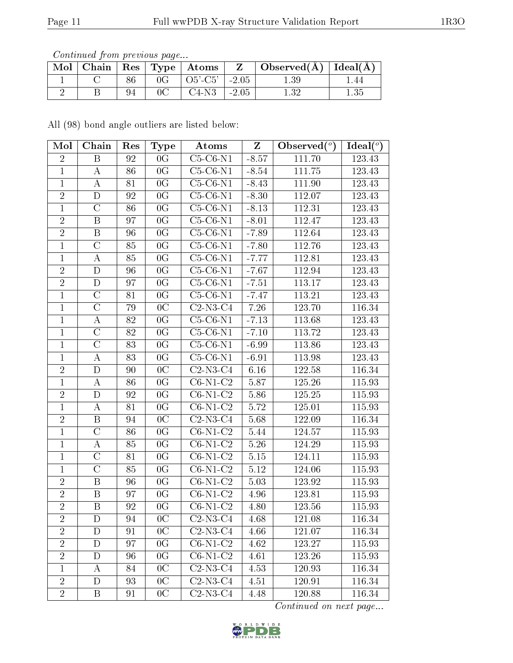Continued from previous page...

| Mol | Chain |    | $\mid$ Res $\mid$ Type $\mid$ Atoms |         | Observed(A) | $\vert$ Ideal( $\rm \AA$ |
|-----|-------|----|-------------------------------------|---------|-------------|--------------------------|
|     |       |    | $O5'-C5'$                           | $-2.05$ | 1.39        | . .44                    |
|     |       | 94 | C4-N3                               | $-2.05$ | ောင့        | $1.35\,$                 |

All (98) bond angle outliers are listed below:

| Mol            | Chain                   | Res | Type            | Atoms             | $\mathbf{Z}$ | Observed $(°)$ | Ideal $(°)$ |
|----------------|-------------------------|-----|-----------------|-------------------|--------------|----------------|-------------|
| $\overline{2}$ | B                       | 92  | 0 <sub>G</sub>  | $C5-C6-N1$        | $-8.57$      | 111.70         | 123.43      |
| $\mathbf{1}$   | А                       | 86  | 0 <sub>G</sub>  | $C5-C6-N1$        | $-8.54$      | 111.75         | 123.43      |
| $\mathbf{1}$   | $\bf{A}$                | 81  | 0G              | $C5-C6-N1$        | $-8.43$      | $111.90\,$     | 123.43      |
| $\overline{2}$ | D                       | 92  | 0G              | $C5-C6-N1$        | $-8.30$      | 112.07         | 123.43      |
| $\mathbf{1}$   | $\mathcal{C}$           | 86  | 0G              | $C5-C6-N1$        | $-8.13$      | 112.31         | 123.43      |
| $\overline{2}$ | $\boldsymbol{B}$        | 97  | 0 <sub>G</sub>  | $C5-C6-N1$        | $-8.01$      | 112.47         | 123.43      |
| $\overline{2}$ | $\overline{\mathbf{B}}$ | 96  | 0 <sub>G</sub>  | $C5-C6-N1$        | $-7.89$      | 112.64         | 123.43      |
| $\mathbf{1}$   | $\mathcal{C}$           | 85  | 0G              | $C5-C6-N1$        | $-7.80$      | 112.76         | 123.43      |
| $\mathbf{1}$   | $\bf{A}$                | 85  | $\overline{0G}$ | $C5-C6-N1$        | $-7.77$      | 112.81         | 123.43      |
| $\sqrt{2}$     | D                       | 96  | 0G              | $C5-C6-N1$        | $-7.67$      | 112.94         | 123.43      |
| $\overline{2}$ | $\overline{\rm D}$      | 97  | $\overline{0G}$ | $C5-C6-N1$        | $-7.51$      | 113.17         | 123.43      |
| $\mathbf{1}$   | $\mathcal{C}$           | 81  | 0G              | $C5-C6-N1$        | $-7.47$      | 113.21         | 123.43      |
| $\mathbf{1}$   | $\overline{C}$          | 79  | 0 <sub>C</sub>  | $C2-N3-C4$        | 7.26         | 123.70         | 116.34      |
| $\mathbf{1}$   | $\bf{A}$                | 82  | 0 <sub>G</sub>  | $C5-C6-N1$        | $-7.13$      | 113.68         | 123.43      |
| $\mathbf{1}$   | $\overline{C}$          | 82  | 0 <sub>G</sub>  | $C5-C6-N1$        | $-7.10$      | 113.72         | 123.43      |
| $\mathbf{1}$   | $\overline{\rm C}$      | 83  | 0G              | $C5-C6-N1$        | $-6.99$      | 113.86         | 123.43      |
| $\mathbf{1}$   | $\bf{A}$                | 83  | 0G              | $C5-C6-N1$        | $-6.91$      | 113.98         | 123.43      |
| $\sqrt{2}$     | $\mathbf D$             | 90  | 0 <sub>C</sub>  | $C2-N3-C4$        | 6.16         | 122.58         | 116.34      |
| $\mathbf{1}$   | $\bf{A}$                | 86  | 0 <sub>G</sub>  | $C6-N1-C2$        | 5.87         | 125.26         | 115.93      |
| $\sqrt{2}$     | ${\rm D}$               | 92  | 0 <sub>G</sub>  | $C6-N1-C2$        | 5.86         | 125.25         | 115.93      |
| $\mathbf{1}$   | $\bf{A}$                | 81  | 0 <sub>G</sub>  | $C6-N1-C2$        | 5.72         | 125.01         | 115.93      |
| $\sqrt{2}$     | $\, {\bf B}$            | 94  | 0 <sup>C</sup>  | $C2-N3-C4$        | 5.68         | 122.09         | 116.34      |
| $\mathbf{1}$   | $\overline{C}$          | 86  | 0 <sub>G</sub>  | $C6-N1-C2$        | 5.44         | $124.57\,$     | 115.93      |
| $\mathbf{1}$   | $\boldsymbol{A}$        | 85  | 0 <sub>G</sub>  | $C6-N1-C2$        | 5.26         | 124.29         | 115.93      |
| $\mathbf{1}$   | $\mathcal{C}$           | 81  | 0G              | $C6-N1-C2$        | 5.15         | 124.11         | 115.93      |
| $\overline{1}$ | $\overline{C}$          | 85  | 0 <sub>G</sub>  | $C6-N1-C2$        | $5.12\,$     | 124.06         | 115.93      |
| $\overline{2}$ | B                       | 96  | 0 <sub>G</sub>  | $C6-N1-C2$        | 5.03         | 123.92         | 115.93      |
| $\overline{2}$ | $\overline{\mathrm{B}}$ | 97  | 0 <sub>G</sub>  | $C6-N1-C2$        | 4.96         | 123.81         | 115.93      |
| $\overline{2}$ | $\, {\bf B}$            | 92  | 0 <sub>G</sub>  | $C6-N1-C2$        | 4.80         | 123.56         | 115.93      |
| $\overline{2}$ | D                       | 94  | 0 <sup>C</sup>  | $\text{C2-N3-C4}$ | 4.68         | 121.08         | 116.34      |
| $\overline{2}$ | D                       | 91  | 0 <sub>C</sub>  | $C2-N3-C4$        | 4.66         | 121.07         | 116.34      |
| $\overline{2}$ | D                       | 97  | 0G              | $C6-N1-C2$        | 4.62         | 123.27         | 115.93      |
| $\sqrt{2}$     | D                       | 96  | 0 <sub>G</sub>  | $C6-N1-C2$        | 4.61         | 123.26         | 115.93      |
| $\mathbf{1}$   | A                       | 84  | 0 <sub>C</sub>  | $C2-N3-C4$        | 4.53         | 120.93         | 116.34      |
| $\sqrt{2}$     | D                       | 93  | 0 <sub>C</sub>  | $C2-N3-C4$        | 4.51         | 120.91         | 116.34      |
| $\overline{2}$ | B                       | 91  | 0 <sup>C</sup>  | $C2-N3-C4$        | 4.48         | 120.88         | 116.34      |

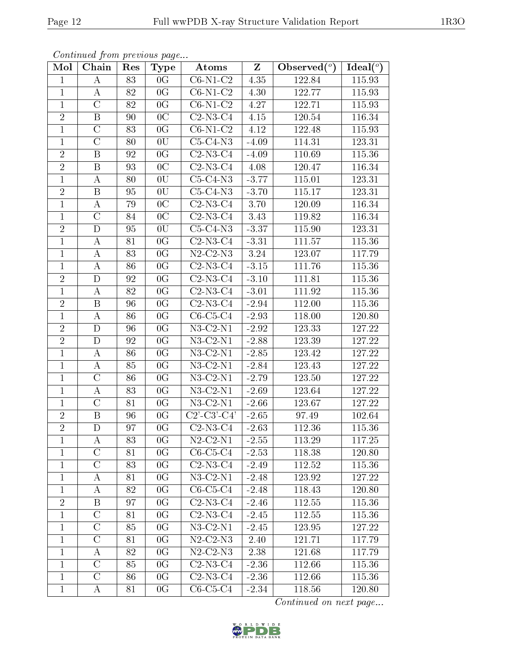| Mol            | Chain              | Res | <b>Type</b>                | Atoms                                  | Z       | Observed $(°)$      | Ideal( $\overline{^{\circ}}$ ) |
|----------------|--------------------|-----|----------------------------|----------------------------------------|---------|---------------------|--------------------------------|
| $\mathbf{1}$   | Α                  | 83  | 0G                         | $C6-N1-C2$                             | 4.35    | 122.84              | 115.93                         |
| $\mathbf{1}$   | A                  | 82  | 0G                         | $\overline{\text{C6}}$ -N1-C2          | 4.30    | 122.77              | 115.93                         |
| $\mathbf{1}$   | $\overline{\rm C}$ | 82  | $\overline{0}\overline{G}$ | $C6-N1-C2$                             | 4.27    | 122.71              | 115.93                         |
| $\sqrt{2}$     | $\boldsymbol{B}$   | 90  | 0 <sup>C</sup>             | $C2-N3-C4$                             | 4.15    | 120.54              | 116.34                         |
| $\mathbf{1}$   | $\overline{\rm C}$ | 83  | 0 <sub>G</sub>             | $C6-N1-C2$                             | 4.12    | 122.48              | 115.93                         |
| $\mathbf{1}$   | $\mathcal{C}$      | 80  | 0U                         | $C5-C4-N3$                             | $-4.09$ | 114.31              | 123.31                         |
| $\overline{2}$ | B                  | 92  | 0 <sub>G</sub>             | $C2-N3-C4$                             | $-4.09$ | 110.69              | 115.36                         |
| $\overline{2}$ | $\, {\bf B}$       | 93  | 0 <sup>C</sup>             | $C2-N3-C4$                             | 4.08    | 120.47              | 116.34                         |
| $\mathbf{1}$   | А                  | 80  | 0U                         | $C5-C4-N3$                             | $-3.77$ | 115.01              | 123.31                         |
| $\overline{2}$ | $\, {\bf B}$       | 95  | 0U                         | $\overline{\text{C5-C}}$ 4-N3          | $-3.70$ | 115.17              | 123.31                         |
| $\mathbf{1}$   | А                  | 79  | 0 <sub>C</sub>             | $C2-N3-C4$                             | 3.70    | 120.09              | 116.34                         |
| $\mathbf{1}$   | $\overline{\rm C}$ | 84  | $\overline{0C}$            | $C2-N3-C4$                             | 3.43    | 119.82              | 116.34                         |
| $\overline{2}$ | D                  | 95  | 0U                         | $C5-C4-N3$                             | $-3.37$ | 115.90              | 123.31                         |
| $\mathbf{1}$   | A                  | 81  | 0 <sub>G</sub>             | $C2-N3-C4$                             | $-3.31$ | 111.57              | 115.36                         |
| $\mathbf{1}$   | А                  | 83  | 0 <sub>G</sub>             | $N2$ -C2- $N3$                         | 3.24    | 123.07              | 117.79                         |
| $\mathbf{1}$   | $\boldsymbol{A}$   | 86  | 0 <sub>G</sub>             | $C2-N3-C4$                             | $-3.15$ | 111.76              | 115.36                         |
| $\overline{2}$ | $\mathbf D$        | 92  | 0 <sub>G</sub>             | $C2-N3-C4$                             | $-3.10$ | 111.81              | 115.36                         |
| $\mathbf{1}$   | $\boldsymbol{A}$   | 82  | 0G                         | $C2-N3-C4$                             | $-3.01$ | 111.92              | 115.36                         |
| $\sqrt{2}$     | $\boldsymbol{B}$   | 96  | 0G                         | $C2-N3-C4$                             | $-2.94$ | 112.00              | 115.36                         |
| $\mathbf{1}$   | А                  | 86  | 0 <sub>G</sub>             | $C6-C5-C4$                             | $-2.93$ | 118.00              | 120.80                         |
| $\overline{2}$ | $\mathbf D$        | 96  | 0G                         | $N3$ -C2- $N1$                         | $-2.92$ | 123.33              | 127.22                         |
| $\overline{2}$ | $\overline{\rm D}$ | 92  | $\overline{0G}$            | $N3-C2-N1$                             | $-2.88$ | 123.39              | 127.22                         |
| $\mathbf{1}$   | A                  | 86  | 0 <sub>G</sub>             | $N3-C2-N1$                             | $-2.85$ | 123.42              | 127.22                         |
| $\mathbf{1}$   | A                  | 85  | 0 <sub>G</sub>             | $N3$ -C2- $N1$                         | $-2.84$ | 123.43              | 127.22                         |
| $\mathbf{1}$   | $\mathcal{C}$      | 86  | 0 <sub>G</sub>             | $N3$ -C2- $N1$                         | $-2.79$ | 123.50              | 127.22                         |
| $\mathbf{1}$   | $\boldsymbol{A}$   | 83  | 0 <sub>G</sub>             | $N3$ -C2- $N1$                         | $-2.69$ | 123.64              | 127.22                         |
| $\mathbf{1}$   | $\overline{\rm C}$ | 81  | 0G                         | $N3$ -C2- $N1$                         | $-2.66$ | 123.67              | 127.22                         |
| $\sqrt{2}$     | B                  | 96  | 0 <sub>G</sub>             | $\overline{C2'\text{-}C3'\text{-}C4'}$ | $-2.65$ | 97.49               | 102.64                         |
| $\overline{2}$ | $\mathbf D$        | 97  | 0G                         | $C2-N3-C4$                             | $-2.63$ | $112.\overline{36}$ | 115.36                         |
| $\perp$        | А                  | 83  | 0 <sub>G</sub>             | $N2$ -C2- $N1$                         | $-2.55$ | 113.29              | 117.25                         |
| $\mathbf{1}$   | $\overline{C}$     | 81  | 0G                         | $C6-C5-C4$                             | $-2.53$ | 118.38              | 120.80                         |
| 1              | $\rm C$            | 83  | 0G                         | $C2-N3-C4$                             | $-2.49$ | 112.52              | 115.36                         |
| $\mathbf{1}$   | A                  | 81  | 0 <sub>G</sub>             | $N3-C2-N1$                             | $-2.48$ | 123.92              | 127.22                         |
| $\mathbf{1}$   | А                  | 82  | 0 <sub>G</sub>             | $C6-C5-C4$                             | $-2.48$ | 118.43              | 120.80                         |
| $\overline{2}$ | $\boldsymbol{B}$   | 97  | 0 <sub>G</sub>             | $C2-N3-C4$                             | $-2.46$ | 112.55              | 115.36                         |
| $\mathbf{1}$   | $\mathcal{C}$      | 81  | 0G                         | $C2-N3-C4$                             | $-2.45$ | $112.55\,$          | 115.36                         |
| $\mathbf{1}$   | $\overline{C}$     | 85  | 0 <sub>G</sub>             | $N3$ -C2- $N1$                         | $-2.45$ | 123.95              | 127.22                         |
| $\mathbf{1}$   | $\mathcal C$       | 81  | 0 <sub>G</sub>             | $N2$ -C2- $N3$                         | 2.40    | 121.71              | 117.79                         |
| $\mathbf{1}$   | А                  | 82  | 0 <sub>G</sub>             | $N2$ -C2- $N3$                         | 2.38    | 121.68              | 117.79                         |
| $\mathbf{1}$   | $\mathcal{C}$      | 85  | 0G                         | $C2-N3-C4$                             | $-2.36$ | 112.66              | 115.36                         |
| $\mathbf{1}$   | $\overline{\rm C}$ | 86  | 0G                         | $C2-N3-C4$                             | $-2.36$ | 112.66              | 115.36                         |
| $\mathbf{1}$   | A                  | 81  | 0 <sub>G</sub>             | $C6-C5-C4$                             | $-2.34$ | 118.56              | 120.80                         |

Continued from previous page...

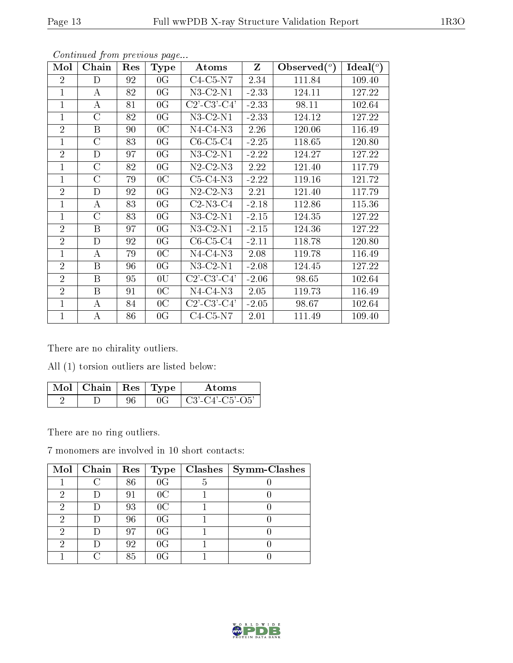| Mol            | Chain            | Res | Type           | Atoms                                                 | $\mathbf{Z}$ | Observed $(°)$ | Ideal $(^\circ)$ |
|----------------|------------------|-----|----------------|-------------------------------------------------------|--------------|----------------|------------------|
| $\overline{2}$ | D                | 92  | 0 <sub>G</sub> | $C4-C5-N7$                                            | 2.34         | 111.84         | 109.40           |
| 1              | $\bf{A}$         | 82  | 0 <sub>G</sub> | $N3-C2-N1$                                            | $-2.33$      | 124.11         | 127.22           |
| $\mathbf{1}$   | $\bf{A}$         | 81  | 0 <sub>G</sub> | $C2$ '-C3'-C4'                                        | $-2.33$      | 98.11          | 102.64           |
| $\mathbf{1}$   | $\rm C$          | 82  | 0 <sub>G</sub> | $N3$ -C2- $N1$                                        | $-2.33$      | 124.12         | 127.22           |
| $\overline{2}$ | B                | 90  | 0 <sup>C</sup> | $N4-C4-N3$                                            | 2.26         | 120.06         | 116.49           |
| $\mathbf{1}$   | $\rm C$          | 83  | 0 <sub>G</sub> | $C6-C5-C4$                                            | $-2.25$      | 118.65         | 120.80           |
| $\overline{2}$ | D                | 97  | 0 <sub>G</sub> | $N3$ -C2- $N1$                                        | $-2.22$      | 124.27         | 127.22           |
| 1              | C                | 82  | 0 <sub>G</sub> | $N2$ -C2- $N3$                                        | 2.22         | 121.40         | 117.79           |
| $\mathbf{1}$   | $\rm C$          | 79  | 0 <sup>C</sup> | $C5-C4-N3$                                            | $-2.22$      | 119.16         | 121.72           |
| $\overline{2}$ | D                | 92  | 0 <sub>G</sub> | $N2$ -C2- $N3$                                        | 2.21         | 121.40         | 117.79           |
| 1              | A                | 83  | 0 <sup>G</sup> | $C2-N3-C4$                                            | $-2.18$      | 112.86         | 115.36           |
| $\mathbf{1}$   | $\mathcal{C}$    | 83  | 0 <sub>G</sub> | $N3$ -C2- $N1$                                        | $-2.15$      | 124.35         | 127.22           |
| $\overline{2}$ | B                | 97  | 0 <sup>G</sup> | $N3$ -C2- $N1$                                        | $-2.15$      | 124.36         | 127.22           |
| $\overline{2}$ | D                | 92  | 0 <sub>G</sub> | $C6-C5-C4$                                            | $-2.11$      | 118.78         | 120.80           |
| $\mathbf{1}$   | $\bf{A}$         | 79  | 0 <sup>C</sup> | $N4-C4-N3$                                            | 2.08         | 119.78         | 116.49           |
| $\overline{2}$ | $\boldsymbol{B}$ | 96  | 0 <sub>G</sub> | $N3-C2-N1$                                            | $-2.08$      | 124.45         | 127.22           |
| $\overline{2}$ | B                | 95  | 0U             | $C2$ <sup>-</sup> $C3$ <sup>-</sup> $C4$ <sup>'</sup> | $-2.06$      | 98.65          | 102.64           |
| $\overline{2}$ | $\boldsymbol{B}$ | 91  | 0 <sup>C</sup> | $N4-C4-N3$                                            | 2.05         | 119.73         | 116.49           |
| 1              | A                | 84  | 0 <sup>C</sup> | $C2$ '-C3'-C4'                                        | $-2.05$      | 98.67          | 102.64           |
| 1              | А                | 86  | 0 <sub>G</sub> | $C4-C5-N7$                                            | 2.01         | 111.49         | 109.40           |

Continued from previous page...

There are no chirality outliers.

All (1) torsion outliers are listed below:

| $\sqrt{\text{Mol}}$ Chain   Res   Type |  | A toms                |
|----------------------------------------|--|-----------------------|
|                                        |  | $\pm$ C3'-C4'-C5'-O5' |

There are no ring outliers.

7 monomers are involved in 10 short contacts:

|   | $Mol$   Chain | Res | Type           | Clashes | Symm-Clashes |
|---|---------------|-----|----------------|---------|--------------|
|   |               | 86  | 0 <sub>G</sub> |         |              |
| റ |               | 91  | 0 <sup>C</sup> |         |              |
| 2 |               | 93  | 0 <sup>C</sup> |         |              |
| 2 |               | 96  | 0 <sub>G</sub> |         |              |
| റ |               | 97  | 0 <sub>G</sub> |         |              |
| റ |               | 92  | 0 <sub>G</sub> |         |              |
|   |               | 85  | 0G             |         |              |

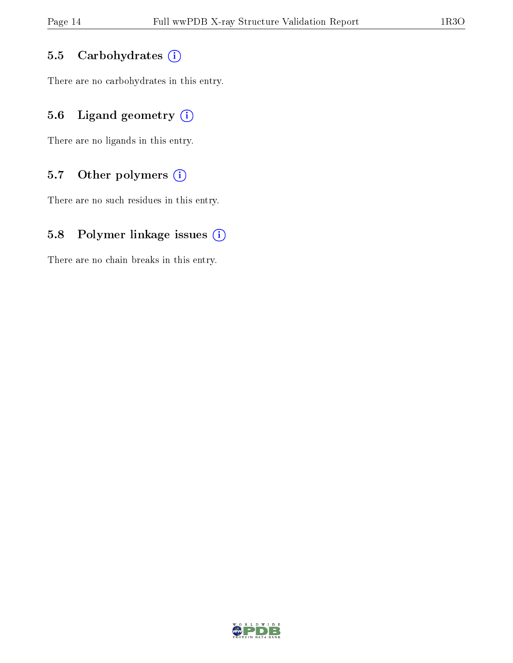#### 5.5 Carbohydrates  $(i)$

There are no carbohydrates in this entry.

### 5.6 Ligand geometry  $(i)$

There are no ligands in this entry.

### 5.7 [O](https://www.wwpdb.org/validation/2017/XrayValidationReportHelp#nonstandard_residues_and_ligands)ther polymers  $(i)$

There are no such residues in this entry.

#### 5.8 Polymer linkage issues  $(i)$

There are no chain breaks in this entry.

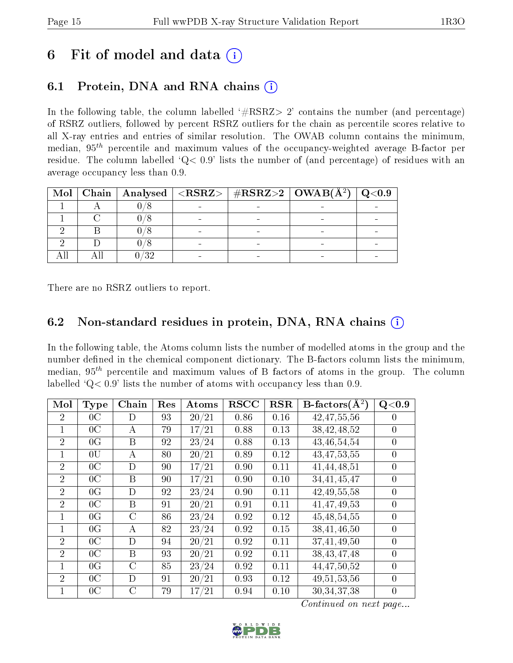## 6 Fit of model and data  $(i)$

### 6.1 Protein, DNA and RNA chains (i)

In the following table, the column labelled  $#RSRZ> 2'$  contains the number (and percentage) of RSRZ outliers, followed by percent RSRZ outliers for the chain as percentile scores relative to all X-ray entries and entries of similar resolution. The OWAB column contains the minimum, median,  $95<sup>th</sup>$  percentile and maximum values of the occupancy-weighted average B-factor per residue. The column labelled ' $Q< 0.9$ ' lists the number of (and percentage) of residues with an average occupancy less than 0.9.

| Mol |  | Chain   Analysed   <rsrz>   #RSRZ&gt;2   OWAB(Å<math>^2</math>)</rsrz> |  |
|-----|--|------------------------------------------------------------------------|--|
|     |  |                                                                        |  |
|     |  |                                                                        |  |
|     |  |                                                                        |  |
|     |  |                                                                        |  |
|     |  |                                                                        |  |

There are no RSRZ outliers to report.

#### 6.2 Non-standard residues in protein, DNA, RNA chains  $(i)$

In the following table, the Atoms column lists the number of modelled atoms in the group and the number defined in the chemical component dictionary. The B-factors column lists the minimum, median,  $95<sup>th</sup>$  percentile and maximum values of B factors of atoms in the group. The column labelled  $Q < 0.9$  lists the number of atoms with occupancy less than 0.9.

| Mol            | <b>Type</b>    | Chain         | Res | Atoms | <b>RSCC</b> | <b>RSR</b> | $B\text{-factors}(\AA^2)$ | Q <sub>0.9</sub> |
|----------------|----------------|---------------|-----|-------|-------------|------------|---------------------------|------------------|
| $\overline{2}$ | 0 <sup>C</sup> | D             | 93  | 20/21 | 0.86        | 0.16       | 42, 47, 55, 56            | $\left( \right)$ |
|                | 0 <sup>C</sup> | A             | 79  | 17/21 | 0.88        | 0.13       | 38,42,48,52               | $\overline{0}$   |
| $\overline{2}$ | 0 <sub>G</sub> | B             | 92  | 23/24 | 0.88        | 0.13       | 43,46,54,54               | $\theta$         |
| 1              | 0U             | А             | 80  | 20/21 | 0.89        | 0.12       | 43, 47, 53, 55            | $\overline{0}$   |
| $\overline{2}$ | 0 <sup>C</sup> | D             | 90  | 17/21 | 0.90        | 0.11       | 41,44,48,51               | $\overline{0}$   |
| $\overline{2}$ | 0 <sup>C</sup> | B             | 90  | 17/21 | 0.90        | 0.10       | 34,41,45,47               | $\overline{0}$   |
| $\overline{2}$ | 0 <sub>G</sub> | D             | 92  | 23/24 | 0.90        | 0.11       | 42, 49, 55, 58            | $\overline{0}$   |
| $\overline{2}$ | 0 <sup>C</sup> | B             | 91  | 20/21 | 0.91        | 0.11       | 41,47,49,53               | $\overline{0}$   |
|                | 0 <sub>G</sub> | $\rm C$       | 86  | 23/24 | 0.92        | 0.12       | 45, 48, 54, 55            | $\overline{0}$   |
| 1              | 0 <sub>G</sub> | А             | 82  | 23/24 | 0.92        | 0.15       | 38,41,46,50               | $\theta$         |
| $\overline{2}$ | 0 <sup>C</sup> | D             | 94  | 20/21 | 0.92        | 0.11       | 37,41,49,50               | $\overline{0}$   |
| $\overline{2}$ | 0 <sup>C</sup> | B             | 93  | 20/21 | 0.92        | 0.11       | 38, 43, 47, 48            | $\theta$         |
| 1              | 0 <sub>G</sub> | $\mathcal{C}$ | 85  | 23/24 | 0.92        | 0.11       | 44, 47, 50, 52            | $\theta$         |
| $\overline{2}$ | 0 <sup>C</sup> | D             | 91  | 20/21 | 0.93        | 0.12       | 49, 51, 53, 56            | $\overline{0}$   |
| 1              | 0 <sup>C</sup> | C             | 79  | 17/21 | 0.94        | 0.10       | 30,34,37,38               | $\overline{0}$   |